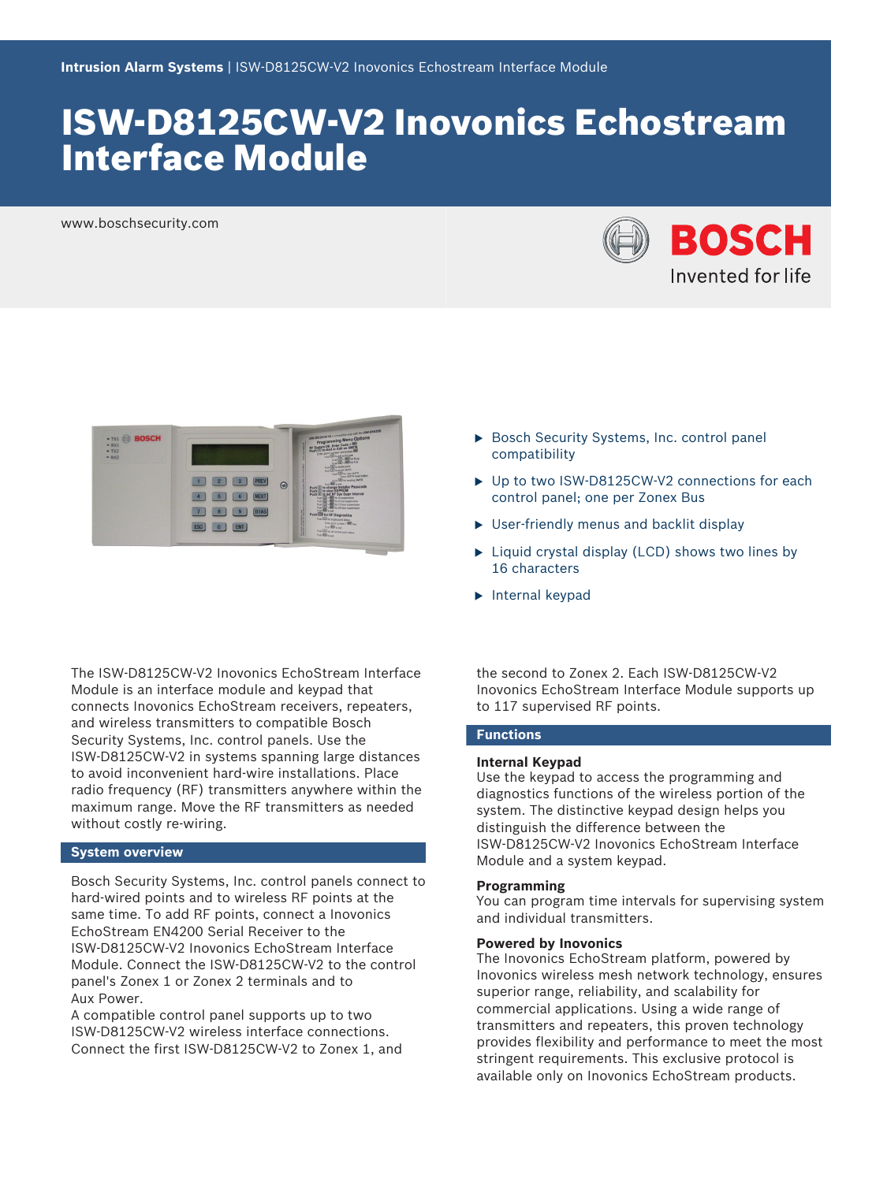# ISW-D8125CW-V2 Inovonics Echostream Interface Module

www.boschsecurity.com





The ISW‑D8125CW‑V2 Inovonics EchoStream Interface Module is an interface module and keypad that connects Inovonics EchoStream receivers, repeaters, and wireless transmitters to compatible Bosch Security Systems, Inc. control panels. Use the ISW‑D8125CW‑V2 in systems spanning large distances to avoid inconvenient hard-wire installations. Place radio frequency (RF) transmitters anywhere within the maximum range. Move the RF transmitters as needed without costly re-wiring.

# **System overview**

Bosch Security Systems, Inc. control panels connect to hard-wired points and to wireless RF points at the same time. To add RF points, connect a Inovonics EchoStream EN4200 Serial Receiver to the ISW‑D8125CW‑V2 Inovonics EchoStream Interface Module. Connect the ISW‑D8125CW‑V2 to the control panel's Zonex 1 or Zonex 2 terminals and to Aux Power.

A compatible control panel supports up to two ISW‑D8125CW‑V2 wireless interface connections. Connect the first ISW‑D8125CW-V2 to Zonex 1, and

- Bosch Security Systems, Inc. control panel compatibility
- ▶ Up to two ISW-D8125CW-V2 connections for each control panel; one per Zonex Bus
- $\triangleright$  User-friendly menus and backlit display
- $\blacktriangleright$  Liquid crystal display (LCD) shows two lines by 16 characters
- $\blacktriangleright$  Internal keypad

the second to Zonex 2. Each ISW‑D8125CW‑V2 Inovonics EchoStream Interface Module supports up to 117 supervised RF points.

# **Functions**

## **Internal Keypad**

Use the keypad to access the programming and diagnostics functions of the wireless portion of the system. The distinctive keypad design helps you distinguish the difference between the ISW‑D8125CW‑V2 Inovonics EchoStream Interface Module and a system keypad.

# **Programming**

You can program time intervals for supervising system and individual transmitters.

# **Powered by Inovonics**

The Inovonics EchoStream platform, powered by Inovonics wireless mesh network technology, ensures superior range, reliability, and scalability for commercial applications. Using a wide range of transmitters and repeaters, this proven technology provides flexibility and performance to meet the most stringent requirements. This exclusive protocol is available only on Inovonics EchoStream products.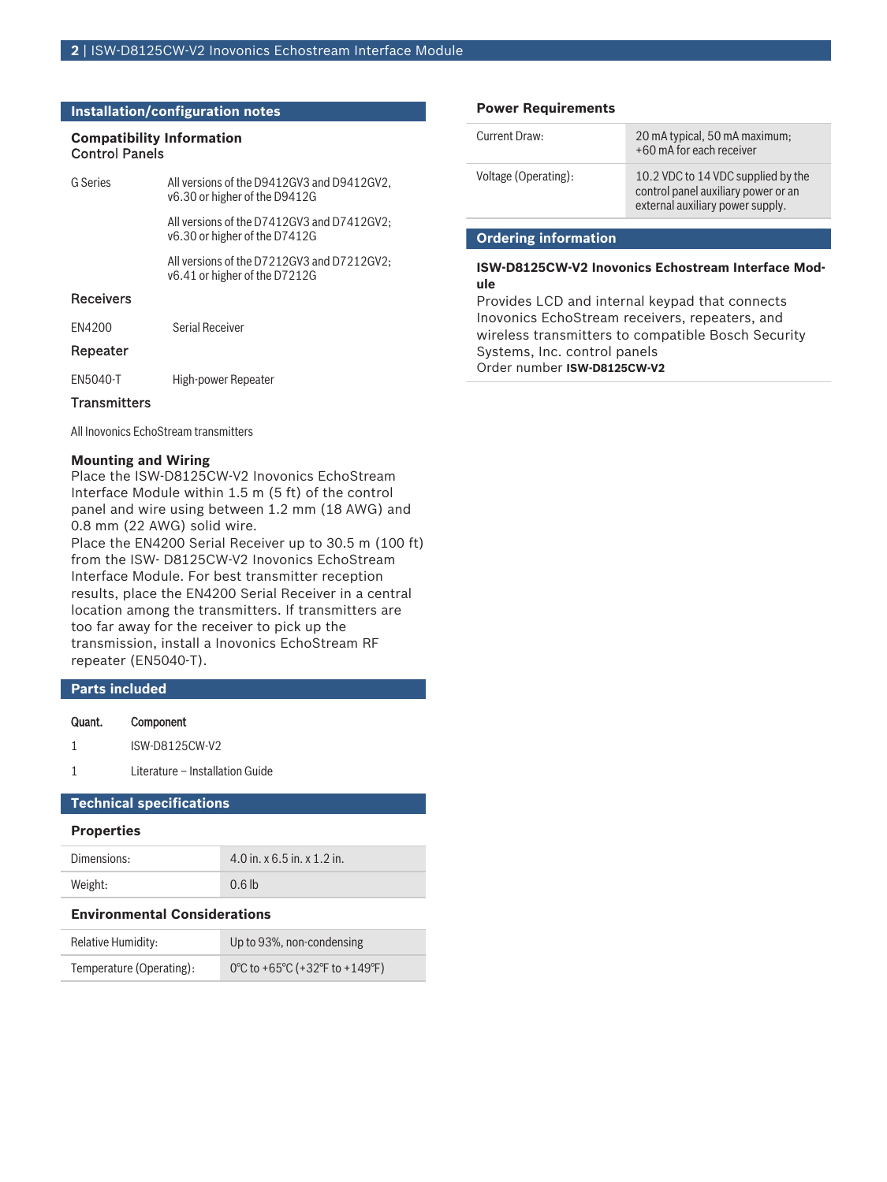# **Installation/configuration notes**

# **Compatibility Information**

| <b>Control Panels</b> |  |
|-----------------------|--|
|                       |  |

| <b>G</b> Series  | All versions of the D9412GV3 and D9412GV2.<br>v6.30 or higher of the D9412G |  |
|------------------|-----------------------------------------------------------------------------|--|
|                  | All versions of the D7412GV3 and D7412GV2;<br>v6.30 or higher of the D7412G |  |
|                  | All versions of the D7212GV3 and D7212GV2;<br>v6.41 or higher of the D7212G |  |
| <b>Receivers</b> |                                                                             |  |
| FN4200           | Serial Receiver                                                             |  |
| Repeater         |                                                                             |  |
| EN5040-T         | High-power Repeater                                                         |  |

# **Transmitters**

All Inovonics EchoStream transmitters

# **Mounting and Wiring**

Place the ISW‑D8125CW‑V2 Inovonics EchoStream Interface Module within 1.5 m (5 ft) of the control panel and wire using between 1.2 mm (18 AWG) and 0.8 mm (22 AWG) solid wire.

Place the EN4200 Serial Receiver up to 30.5 m (100 ft) from the ISW-D8125CW-V2 Inovonics EchoStream Interface Module. For best transmitter reception results, place the EN4200 Serial Receiver in a central location among the transmitters. If transmitters are too far away for the receiver to pick up the transmission, install a Inovonics EchoStream RF repeater (EN5040-T).

# **Parts included**

# Quant. Component

1 Literature – Installation Guide

# **Technical specifications**

# **Properties**

| Dimensions: | $4.0$ in. x 6.5 in. x 1.2 in. |
|-------------|-------------------------------|
| Weight:     | 0.6 <sub>th</sub>             |

# **Environmental Considerations**

| Relative Humidity:       | Up to 93%, non-condensing      |
|--------------------------|--------------------------------|
| Temperature (Operating): | 0°C to +65°C (+32°F to +149°F) |

# **Power Requirements**

| Current Draw:        | 20 mA typical, 50 mA maximum;<br>+60 mA for each receiver                                                     |
|----------------------|---------------------------------------------------------------------------------------------------------------|
| Voltage (Operating): | 10.2 VDC to 14 VDC supplied by the<br>control panel auxiliary power or an<br>external auxiliary power supply. |

# **Ordering information**

# **ISW-D8125CW-V2 Inovonics Echostream Interface Module**

Provides LCD and internal keypad that connects Inovonics EchoStream receivers, repeaters, and wireless transmitters to compatible Bosch Security Systems, Inc. control panels Order number **ISW-D8125CW-V2**